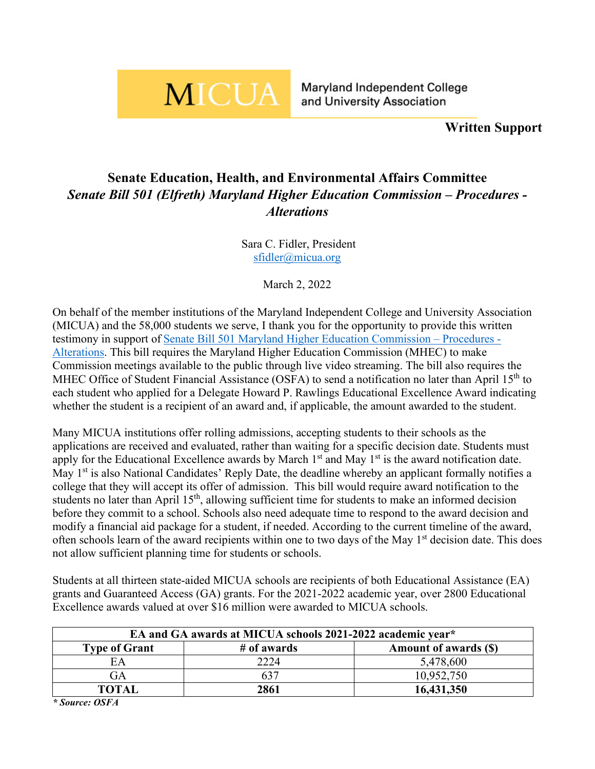## **MICUA**

**Written Support**

## **Senate Education, Health, and Environmental Affairs Committee** *Senate Bill 501 (Elfreth) Maryland Higher Education Commission – Procedures - Alterations*

Sara C. Fidler, President [sfidler@micua.org](mailto:sfidler@micua.org)

March 2, 2022

On behalf of the member institutions of the Maryland Independent College and University Association (MICUA) and the 58,000 students we serve, I thank you for the opportunity to provide this written testimony in support of [Senate Bill 501 Maryland Higher Education Commission –](https://mgaleg.maryland.gov/mgawebsite/Legislation/Details/SB0501?ys=2022RS) Procedures - [Alterations.](https://mgaleg.maryland.gov/mgawebsite/Legislation/Details/SB0501?ys=2022RS) This bill requires the Maryland Higher Education Commission (MHEC) to make Commission meetings available to the public through live video streaming. The bill also requires the MHEC Office of Student Financial Assistance (OSFA) to send a notification no later than April 15<sup>th</sup> to each student who applied for a Delegate Howard P. Rawlings Educational Excellence Award indicating whether the student is a recipient of an award and, if applicable, the amount awarded to the student.

Many MICUA institutions offer rolling admissions, accepting students to their schools as the applications are received and evaluated, rather than waiting for a specific decision date. Students must apply for the Educational Excellence awards by March  $1<sup>st</sup>$  and May  $1<sup>st</sup>$  is the award notification date. May 1<sup>st</sup> is also National Candidates' Reply Date, the deadline whereby an applicant formally notifies a college that they will accept its offer of admission. This bill would require award notification to the students no later than April 15<sup>th</sup>, allowing sufficient time for students to make an informed decision before they commit to a school. Schools also need adequate time to respond to the award decision and modify a financial aid package for a student, if needed. According to the current timeline of the award, often schools learn of the award recipients within one to two days of the May 1<sup>st</sup> decision date. This does not allow sufficient planning time for students or schools.

Students at all thirteen state-aided MICUA schools are recipients of both Educational Assistance (EA) grants and Guaranteed Access (GA) grants. For the 2021-2022 academic year, over 2800 Educational Excellence awards valued at over \$16 million were awarded to MICUA schools.

| EA and GA awards at MICUA schools 2021-2022 academic vear* |             |                       |
|------------------------------------------------------------|-------------|-----------------------|
| <b>Type of Grant</b>                                       | # of awards | Amount of awards (\$) |
| EA                                                         | 2224        | 5,478,600             |
| GA                                                         | 637         | 10,952,750            |
| <b>TOTAL</b>                                               | 2861        | 16,431,350            |

*\* Source: OSFA*